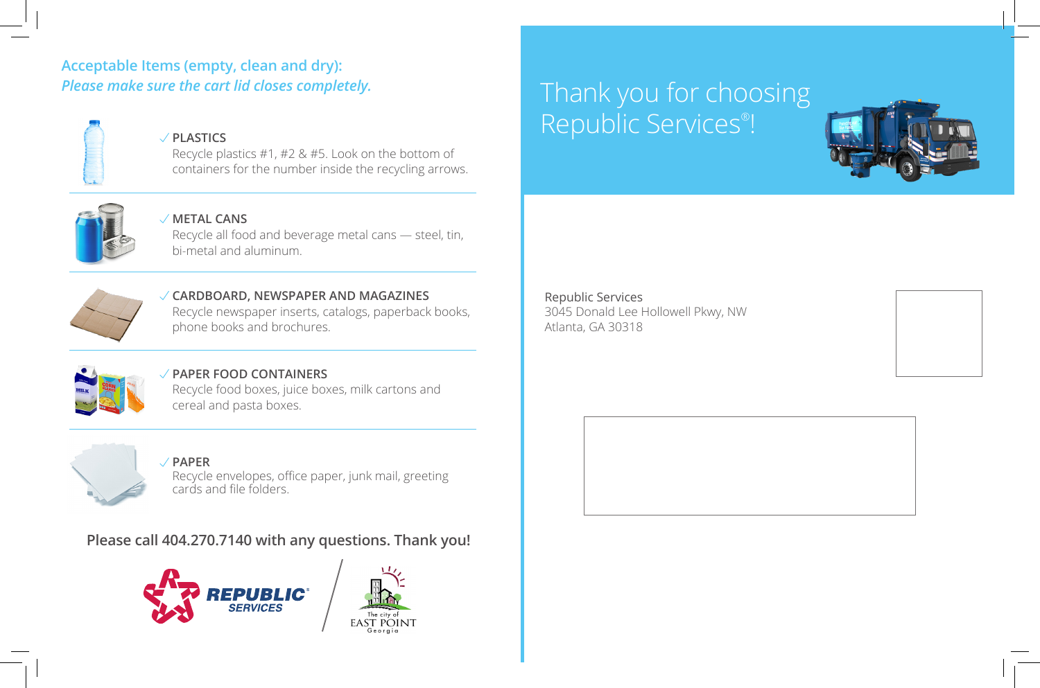## **Acceptable Items (empty, clean and dry):** *Please make sure the cart lid closes completely.*



## **PLASTICS**

Recycle plastics #1, #2 & #5. Look on the bottom of containers for the number inside the recycling arrows.



#### **METAL CANS**

Recycle all food and beverage metal cans — steel, tin, bi-metal and aluminum.



#### **CARDBOARD, NEWSPAPER AND MAGAZINES** Recycle newspaper inserts, catalogs, paperback books, phone books and brochures.



#### **PAPER FOOD CONTAINERS** Recycle food boxes, juice boxes, milk cartons and cereal and pasta boxes.



# **PAPER**

Recycle envelopes, office paper, junk mail, greeting cards and file folders.

# **Please call 404.270.7140 with any questions. Thank you!**





Thank you for choosing Republic Services® !



Republic Services 3045 Donald Lee Hollowell Pkwy, NW Atlanta, GA 30318